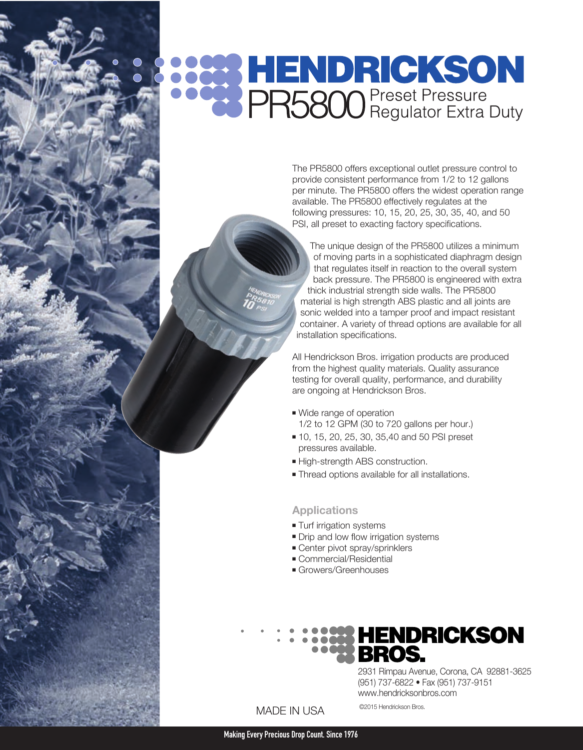# **SOON HENDRICKSON**<br> **SOON** PR5800 Preset Pressure<br> **PR5800** Regulator Extra Duty

The PR5800 offers exceptional outlet pressure control to provide consistent performance from 1/2 to 12 gallons per minute. The PR5800 offers the widest operation range available. The PR5800 effectively regulates at the following pressures: 10, 15, 20, 25, 30, 35, 40, and 50 PSI, all preset to exacting factory specifications.

The unique design of the PR5800 utilizes a minimum of moving parts in a sophisticated diaphragm design that regulates itself in reaction to the overall system back pressure. The PR5800 is engineered with extra thick industrial strength side walls. The PR5800 material is high strength ABS plastic and all joints are sonic welded into a tamper proof and impact resistant container. A variety of thread options are available for all installation specifications.

All Hendrickson Bros. irrigation products are produced from the highest quality materials. Quality assurance testing for overall quality, performance, and durability are ongoing at Hendrickson Bros.

- Wide range of operation 1/2 to 12 GPM (30 to 720 gallons per hour.)
- 10, 15, 20, 25, 30, 35,40 and 50 PSI preset pressures available.
- <sup>n</sup> High-strength ABS construction.
- **Thread options available for all installations.**

#### **Applications**

- **Turf irrigation systems**
- Drip and low flow irrigation systems
- Center pivot spray/sprinklers
- **Commercial/Residential**
- **Growers/Greenhouses**

# **HENDRICKSON<br>BROS.**

2931 Rimpau Avenue, Corona, CA 92881-3625 (951) 737-6822 • Fax (951) 737-9151 www.hendricksonbros.com

#### MADE IN USA

©2015 Hendrickson Bros.